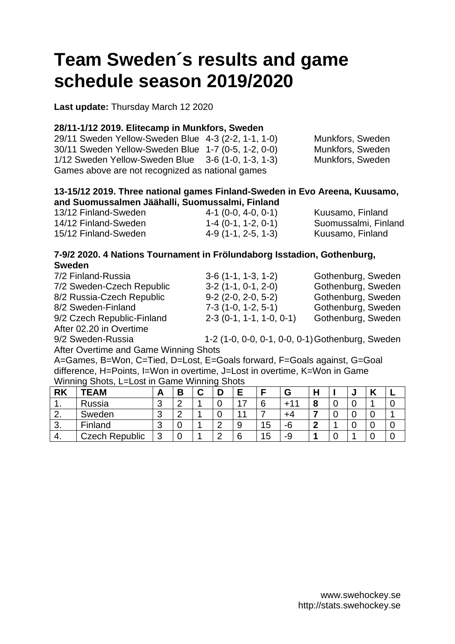# **Team Sweden´s results and game schedule season 2019/2020**

**Last update:** Thursday March 12 2020

#### **28/11-1/12 2019. Elitecamp in Munkfors, Sweden**

29/11 Sweden Yellow-Sweden Blue 4-3 (2-2, 1-1, 1-0) Munkfors, Sweden 30/11 Sweden Yellow-Sweden Blue 1-7 (0-5, 1-2, 0-0) Munkfors, Sweden 1/12 Sweden Yellow-Sweden Blue 3-6 (1-0, 1-3, 1-3) Munkfors, Sweden Games above are not recognized as national games

#### **13-15/12 2019. Three national games Finland-Sweden in Evo Areena, Kuusamo, and Suomussalmen Jäähalli, Suomussalmi, Finland**

| 13/12 Finland-Sweden | $4-1$ (0-0, 4-0, 0-1) | Kuusamo, Finland     |
|----------------------|-----------------------|----------------------|
| 14/12 Finland-Sweden | $1-4$ (0-1, 1-2, 0-1) | Suomussalmi, Finland |
| 15/12 Finland-Sweden | $4-9(1-1, 2-5, 1-3)$  | Kuusamo, Finland     |

### **7-9/2 2020. 4 Nations Tournament in Frölundaborg Isstadion, Gothenburg, Sweden**

| 7/2 Finland-Russia         | $3-6(1-1, 1-3, 1-2)$       | Gothenburg, Sweden |
|----------------------------|----------------------------|--------------------|
| 7/2 Sweden-Czech Republic  | $3-2(1-1, 0-1, 2-0)$       | Gothenburg, Sweden |
| 8/2 Russia-Czech Republic  | $9-2$ (2-0, 2-0, 5-2)      | Gothenburg, Sweden |
| 8/2 Sweden-Finland         | $7-3$ (1-0, 1-2, 5-1)      | Gothenburg, Sweden |
| 9/2 Czech Republic-Finland | $2-3$ (0-1, 1-1, 1-0, 0-1) | Gothenburg, Sweden |
| After 02.20 in Overtime    |                            |                    |

9/2 Sweden-Russia 1-2 (1-0, 0-0, 0-1, 0-0, 0-1)Gothenburg, Sweden

After Overtime and Game Winning Shots

A=Games, B=Won, C=Tied, D=Lost, E=Goals forward, F=Goals against, G=Goal difference, H=Points, I=Won in overtime, J=Lost in overtime, K=Won in Game Winning Shots, L=Lost in Game Winning Shots

| <b>RK</b> | <b>TEAM</b>           |   | D<br>o | ື | −      |    | G  | п |   | u |   |
|-----------|-----------------------|---|--------|---|--------|----|----|---|---|---|---|
| . .       | Russia                | ີ |        |   |        |    | ∸  | О | u |   | u |
| <u>.</u>  | Sweden                |   |        |   |        |    | +4 |   | U |   |   |
| J.        | Finland               |   |        |   |        | 15 | -6 |   |   | U | ັ |
| 4.        | <b>Czech Republic</b> |   |        |   | ⌒<br>6 | I5 | -9 |   |   |   |   |